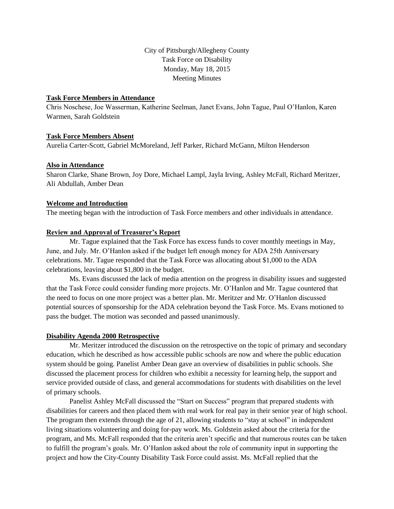City of Pittsburgh/Allegheny County Task Force on Disability Monday, May 18, 2015 Meeting Minutes

#### **Task Force Members in Attendance**

Chris Noschese, Joe Wasserman, Katherine Seelman, Janet Evans, John Tague, Paul O'Hanlon, Karen Warmen, Sarah Goldstein

# **Task Force Members Absent**

Aurelia Carter-Scott, Gabriel McMoreland, Jeff Parker, Richard McGann, Milton Henderson

# **Also in Attendance**

Sharon Clarke, Shane Brown, Joy Dore, Michael Lampl, Jayla Irving, Ashley McFall, Richard Meritzer, Ali Abdullah, Amber Dean

# **Welcome and Introduction**

The meeting began with the introduction of Task Force members and other individuals in attendance.

# **Review and Approval of Treasurer's Report**

Mr. Tague explained that the Task Force has excess funds to cover monthly meetings in May, June, and July. Mr. O'Hanlon asked if the budget left enough money for ADA 25th Anniversary celebrations. Mr. Tague responded that the Task Force was allocating about \$1,000 to the ADA celebrations, leaving about \$1,800 in the budget.

Ms. Evans discussed the lack of media attention on the progress in disability issues and suggested that the Task Force could consider funding more projects. Mr. O'Hanlon and Mr. Tague countered that the need to focus on one more project was a better plan. Mr. Meritzer and Mr. O'Hanlon discussed potential sources of sponsorship for the ADA celebration beyond the Task Force. Ms. Evans motioned to pass the budget. The motion was seconded and passed unanimously.

#### **Disability Agenda 2000 Retrospective**

Mr. Meritzer introduced the discussion on the retrospective on the topic of primary and secondary education, which he described as how accessible public schools are now and where the public education system should be going. Panelist Amber Dean gave an overview of disabilities in public schools. She discussed the placement process for children who exhibit a necessity for learning help, the support and service provided outside of class, and general accommodations for students with disabilities on the level of primary schools.

Panelist Ashley McFall discussed the "Start on Success" program that prepared students with disabilities for careers and then placed them with real work for real pay in their senior year of high school. The program then extends through the age of 21, allowing students to "stay at school" in independent living situations volunteering and doing for-pay work. Ms. Goldstein asked about the criteria for the program, and Ms. McFall responded that the criteria aren't specific and that numerous routes can be taken to fulfill the program's goals. Mr. O'Hanlon asked about the role of community input in supporting the project and how the City-County Disability Task Force could assist. Ms. McFall replied that the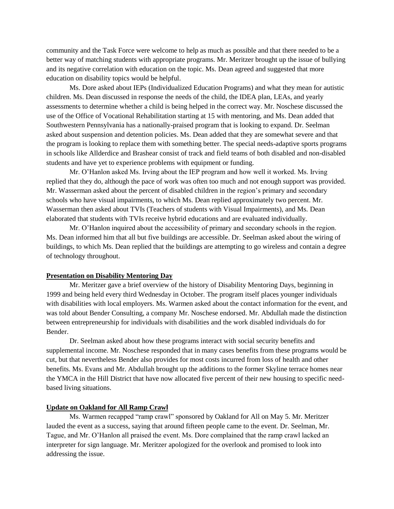community and the Task Force were welcome to help as much as possible and that there needed to be a better way of matching students with appropriate programs. Mr. Meritzer brought up the issue of bullying and its negative correlation with education on the topic. Ms. Dean agreed and suggested that more education on disability topics would be helpful.

Ms. Dore asked about IEPs (Individualized Education Programs) and what they mean for autistic children. Ms. Dean discussed in response the needs of the child, the IDEA plan, LEAs, and yearly assessments to determine whether a child is being helped in the correct way. Mr. Noschese discussed the use of the Office of Vocational Rehabilitation starting at 15 with mentoring, and Ms. Dean added that Southwestern Pennsylvania has a nationally-praised program that is looking to expand. Dr. Seelman asked about suspension and detention policies. Ms. Dean added that they are somewhat severe and that the program is looking to replace them with something better. The special needs-adaptive sports programs in schools like Allderdice and Brashear consist of track and field teams of both disabled and non-disabled students and have yet to experience problems with equipment or funding.

Mr. O'Hanlon asked Ms. Irving about the IEP program and how well it worked. Ms. Irving replied that they do, although the pace of work was often too much and not enough support was provided. Mr. Wasserman asked about the percent of disabled children in the region's primary and secondary schools who have visual impairments, to which Ms. Dean replied approximately two percent. Mr. Wasserman then asked about TVIs (Teachers of students with Visual Impairments), and Ms. Dean elaborated that students with TVIs receive hybrid educations and are evaluated individually.

Mr. O'Hanlon inquired about the accessibility of primary and secondary schools in the region. Ms. Dean informed him that all but five buildings are accessible. Dr. Seelman asked about the wiring of buildings, to which Ms. Dean replied that the buildings are attempting to go wireless and contain a degree of technology throughout.

#### **Presentation on Disability Mentoring Day**

Mr. Meritzer gave a brief overview of the history of Disability Mentoring Days, beginning in 1999 and being held every third Wednesday in October. The program itself places younger individuals with disabilities with local employers. Ms. Warmen asked about the contact information for the event, and was told about Bender Consulting, a company Mr. Noschese endorsed. Mr. Abdullah made the distinction between entrepreneurship for individuals with disabilities and the work disabled individuals do for Bender.

Dr. Seelman asked about how these programs interact with social security benefits and supplemental income. Mr. Noschese responded that in many cases benefits from these programs would be cut, but that nevertheless Bender also provides for most costs incurred from loss of health and other benefits. Ms. Evans and Mr. Abdullah brought up the additions to the former Skyline terrace homes near the YMCA in the Hill District that have now allocated five percent of their new housing to specific needbased living situations.

#### **Update on Oakland for All Ramp Crawl**

Ms. Warmen recapped "ramp crawl" sponsored by Oakland for All on May 5. Mr. Meritzer lauded the event as a success, saying that around fifteen people came to the event. Dr. Seelman, Mr. Tague, and Mr. O'Hanlon all praised the event. Ms. Dore complained that the ramp crawl lacked an interpreter for sign language. Mr. Meritzer apologized for the overlook and promised to look into addressing the issue.